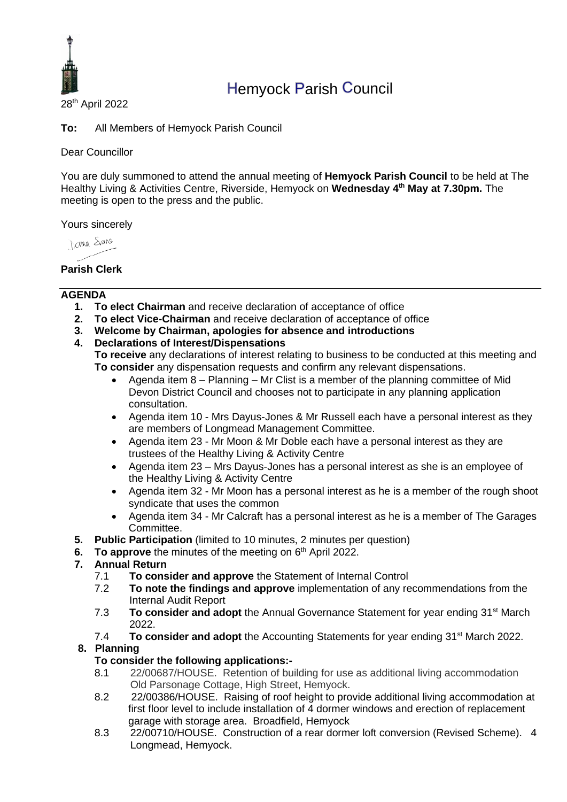

# Hemyock Parish Council

28th April 2022

**To:** All Members of Hemyock Parish Council

Dear Councillor

You are duly summoned to attend the annual meeting of **Hemyock Parish Council** to be held at The Healthy Living & Activities Centre, Riverside, Hemyock on **Wednesday 4 th May at 7.30pm.** The meeting is open to the press and the public.

Yours sincerely

**DOMAR STANS** 

## **Parish Clerk**

#### **AGENDA**

- **1. To elect Chairman** and receive declaration of acceptance of office
- **2. To elect Vice-Chairman** and receive declaration of acceptance of office
- **3. Welcome by Chairman, apologies for absence and introductions**
- **4. Declarations of Interest/Dispensations**

**To receive** any declarations of interest relating to business to be conducted at this meeting and **To consider** any dispensation requests and confirm any relevant dispensations.

- Agenda item 8 Planning Mr Clist is a member of the planning committee of Mid Devon District Council and chooses not to participate in any planning application consultation.
- Agenda item 10 Mrs Dayus-Jones & Mr Russell each have a personal interest as they are members of Longmead Management Committee.
- Agenda item 23 Mr Moon & Mr Doble each have a personal interest as they are trustees of the Healthy Living & Activity Centre
- Agenda item 23 Mrs Dayus-Jones has a personal interest as she is an employee of the Healthy Living & Activity Centre
- Agenda item 32 Mr Moon has a personal interest as he is a member of the rough shoot syndicate that uses the common
- Agenda item 34 Mr Calcraft has a personal interest as he is a member of The Garages Committee.
- **5. Public Participation** (limited to 10 minutes, 2 minutes per question)
- **6.** To approve the minutes of the meeting on 6<sup>th</sup> April 2022.

#### **7. Annual Return**

- 7.1 **To consider and approve** the Statement of Internal Control
- 7.2 **To note the findings and approve** implementation of any recommendations from the Internal Audit Report
- 7.3 **To consider and adopt** the Annual Governance Statement for year ending 31st March 2022.
- 7.4 **To consider and adopt** the Accounting Statements for year ending 31<sup>st</sup> March 2022. **8. Planning**

#### **To consider the following applications:-**

- 8.1 22/00687/HOUSE. Retention of building for use as additional living accommodation Old Parsonage Cottage, High Street, Hemyock.
- 8.2 22/00386/HOUSE. Raising of roof height to provide additional living accommodation at first floor level to include installation of 4 dormer windows and erection of replacement garage with storage area. Broadfield, Hemyock
- 8.3 22/00710/HOUSE. Construction of a rear dormer loft conversion (Revised Scheme). 4 Longmead, Hemyock.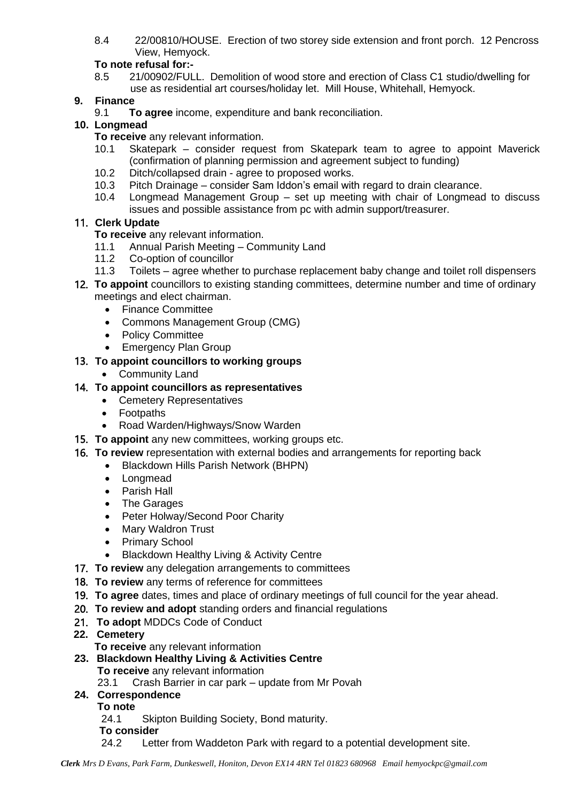8.4 22/00810/HOUSE. Erection of two storey side extension and front porch. 12 Pencross View, Hemyock.

# **To note refusal for:-**

8.5 21/00902/FULL. Demolition of wood store and erection of Class C1 studio/dwelling for use as residential art courses/holiday let. Mill House, Whitehall, Hemyock.

# **9. Finance**

9.1 **To agree** income, expenditure and bank reconciliation.

# **10. Longmead**

- **To receive** any relevant information.
- 10.1 Skatepark consider request from Skatepark team to agree to appoint Maverick (confirmation of planning permission and agreement subject to funding)
- 10.2 Ditch/collapsed drain agree to proposed works.
- 10.3 Pitch Drainage consider Sam Iddon's email with regard to drain clearance.
- 10.4 Longmead Management Group set up meeting with chair of Longmead to discuss issues and possible assistance from pc with admin support/treasurer.

# 11. **Clerk Update**

**To receive** any relevant information.

- 11.1 Annual Parish Meeting Community Land
- 11.2 Co-option of councillor
- 11.3 Toilets agree whether to purchase replacement baby change and toilet roll dispensers
- 12. **To appoint** councillors to existing standing committees, determine number and time of ordinary meetings and elect chairman.
	- Finance Committee
	- Commons Management Group (CMG)
	- Policy Committee
	- Emergency Plan Group

# 13. **To appoint councillors to working groups**

• Community Land

# 14. **To appoint councillors as representatives**

- Cemetery Representatives
- Footpaths
- Road Warden/Highways/Snow Warden
- 15. **To appoint** any new committees, working groups etc.
- 16. **To review** representation with external bodies and arrangements for reporting back
	- Blackdown Hills Parish Network (BHPN)
	- Longmead
	- Parish Hall
	- The Garages
	- Peter Holway/Second Poor Charity
	- Mary Waldron Trust
	- Primary School
	- Blackdown Healthy Living & Activity Centre
- 17. **To review** any delegation arrangements to committees
- 18. **To review** any terms of reference for committees
- 19. **To agree** dates, times and place of ordinary meetings of full council for the year ahead.
- 20. **To review and adopt** standing orders and financial regulations
- 21. **To adopt** MDDCs Code of Conduct

# **22. Cemetery**

- **To receive** any relevant information
- **23. Blackdown Healthy Living & Activities Centre**
	- **To receive** any relevant information
	- 23.1 Crash Barrier in car park update from Mr Povah

# **24. Correspondence**

- **To note**
- 24.1 Skipton Building Society, Bond maturity.
- **To consider**
- 24.2 Letter from Waddeton Park with regard to a potential development site.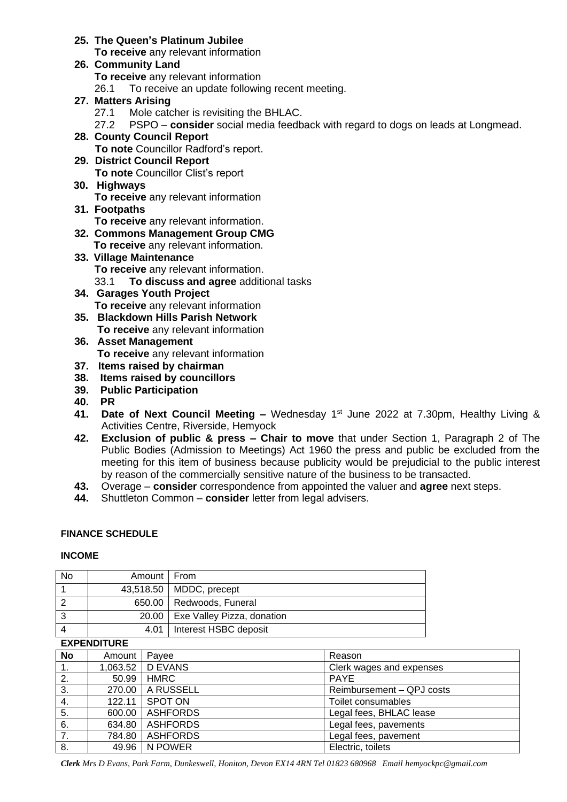### **25. The Queen's Platinum Jubilee**

**To receive** any relevant information

**26. Community Land To receive** any relevant information 26.1 To receive an update following recent meeting.

#### **27. Matters Arising**

- 27.1 Mole catcher is revisiting the BHLAC.
- 27.2 PSPO **consider** social media feedback with regard to dogs on leads at Longmead.
- **28. County Council Report To note** Councillor Radford's report.
- **29. District Council Report To note** Councillor Clist's report
- **30. Highways To receive** any relevant information
- **31. Footpaths To receive** any relevant information.
- **32. Commons Management Group CMG To receive** any relevant information.
- **33. Village Maintenance To receive** any relevant information. 33.1 **To discuss and agree** additional tasks
- **34. Garages Youth Project To receive** any relevant information
- **35. Blackdown Hills Parish Network To receive** any relevant information
- **36. Asset Management To receive** any relevant information
- **37. Items raised by chairman**
- **38. Items raised by councillors**
- **39. Public Participation**
- **40. PR**
- **41. Date of Next Council Meeting –** Wednesday 1<sup>st</sup> June 2022 at 7.30pm, Healthy Living & Activities Centre, Riverside, Hemyock
- **42. Exclusion of public & press – Chair to move** that under Section 1, Paragraph 2 of The Public Bodies (Admission to Meetings) Act 1960 the press and public be excluded from the meeting for this item of business because publicity would be prejudicial to the public interest by reason of the commercially sensitive nature of the business to be transacted.
- **43.** Overage **consider** correspondence from appointed the valuer and **agree** next steps.
- **44.** Shuttleton Common **consider** letter from legal advisers.

#### **FINANCE SCHEDULE**

#### **INCOME**

| No  | Amount   From |                                    |
|-----|---------------|------------------------------------|
|     |               | 43,518.50   MDDC, precept          |
|     |               | 650.00   Redwoods, Funeral         |
| - 3 |               | 20.00   Exe Valley Pizza, donation |
|     |               | 4.01   Interest HSBC deposit       |

#### **EXPENDITURE**

| <b>No</b> | Amount | Payee              | Reason                    |  |  |  |
|-----------|--------|--------------------|---------------------------|--|--|--|
| 1.        |        | 1,063.52   D EVANS | Clerk wages and expenses  |  |  |  |
| 2.        | 50.99  | <b>HMRC</b>        | <b>PAYE</b>               |  |  |  |
| 3.        |        | 270.00   A RUSSELL | Reimbursement - QPJ costs |  |  |  |
| 4.        | 122.11 | SPOT ON            | Toilet consumables        |  |  |  |
| 5.        | 600.00 | <b>ASHFORDS</b>    | Legal fees, BHLAC lease   |  |  |  |
| 6.        | 634.80 | <b>ASHFORDS</b>    | Legal fees, pavements     |  |  |  |
| 7.        | 784.80 | <b>ASHFORDS</b>    | Legal fees, pavement      |  |  |  |
| 8.        |        | 49.96   N POWER    | Electric, toilets         |  |  |  |

*Clerk Mrs D Evans, Park Farm, Dunkeswell, Honiton, Devon EX14 4RN Tel 01823 680968 Email hemyockpc@gmail.com*